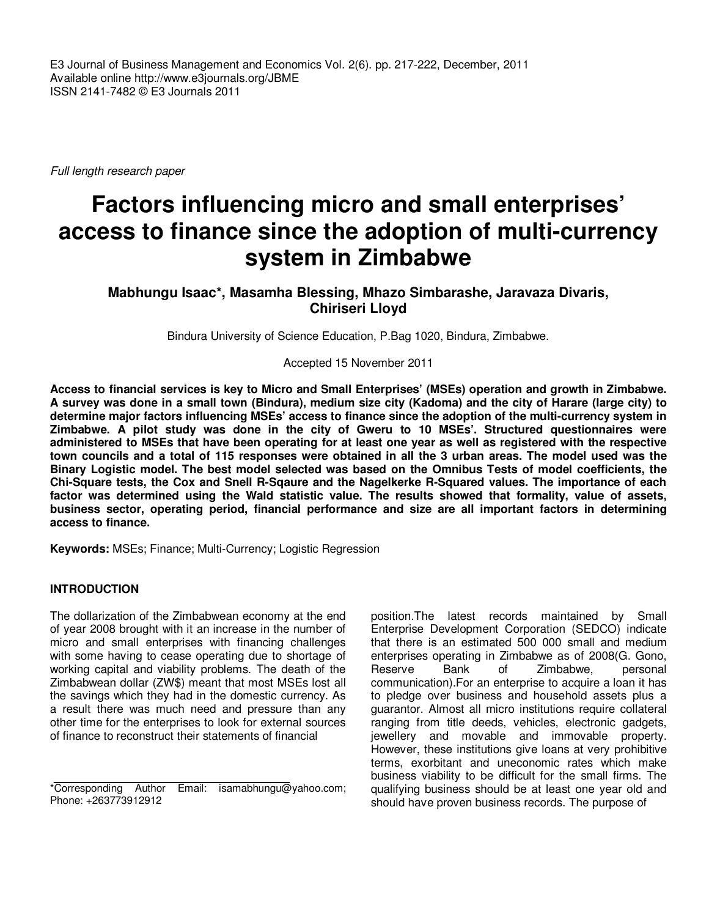E3 Journal of Business Management and Economics Vol. 2(6). pp. 217-222, December, 2011 Available online http://www.e3journals.org/JBME ISSN 2141-7482 © E3 Journals 2011

Full length research paper

# **Factors influencing micro and small enterprises' access to finance since the adoption of multi-currency system in Zimbabwe**

**Mabhungu Isaac\*, Masamha Blessing, Mhazo Simbarashe, Jaravaza Divaris, Chiriseri Lloyd**

Bindura University of Science Education, P.Bag 1020, Bindura, Zimbabwe.

Accepted 15 November 2011

**Access to financial services is key to Micro and Small Enterprises' (MSEs) operation and growth in Zimbabwe. A survey was done in a small town (Bindura), medium size city (Kadoma) and the city of Harare (large city) to determine major factors influencing MSEs' access to finance since the adoption of the multi-currency system in Zimbabwe. A pilot study was done in the city of Gweru to 10 MSEs'. Structured questionnaires were administered to MSEs that have been operating for at least one year as well as registered with the respective town councils and a total of 115 responses were obtained in all the 3 urban areas. The model used was the Binary Logistic model. The best model selected was based on the Omnibus Tests of model coefficients, the Chi-Square tests, the Cox and Snell R-Sqaure and the Nagelkerke R-Squared values. The importance of each factor was determined using the Wald statistic value. The results showed that formality, value of assets, business sector, operating period, financial performance and size are all important factors in determining access to finance.**

**Keywords:** MSEs; Finance; Multi-Currency; Logistic Regression

#### **INTRODUCTION**

The dollarization of the Zimbabwean economy at the end of year 2008 brought with it an increase in the number of micro and small enterprises with financing challenges with some having to cease operating due to shortage of working capital and viability problems. The death of the Zimbabwean dollar (ZW\$) meant that most MSEs lost all the savings which they had in the domestic currency. As a result there was much need and pressure than any other time for the enterprises to look for external sources of finance to reconstruct their statements of financial

position.The latest records maintained by Small Enterprise Development Corporation (SEDCO) indicate that there is an estimated 500 000 small and medium enterprises operating in Zimbabwe as of 2008(G. Gono, Reserve Bank of Zimbabwe, personal communication).For an enterprise to acquire a loan it has to pledge over business and household assets plus a guarantor. Almost all micro institutions require collateral ranging from title deeds, vehicles, electronic gadgets, jewellery and movable and immovable property. However, these institutions give loans at very prohibitive terms, exorbitant and uneconomic rates which make business viability to be difficult for the small firms. The qualifying business should be at least one year old and should have proven business records. The purpose of

<sup>\*</sup>Corresponding Author Email: isamabhungu@yahoo.com; Phone: +263773912912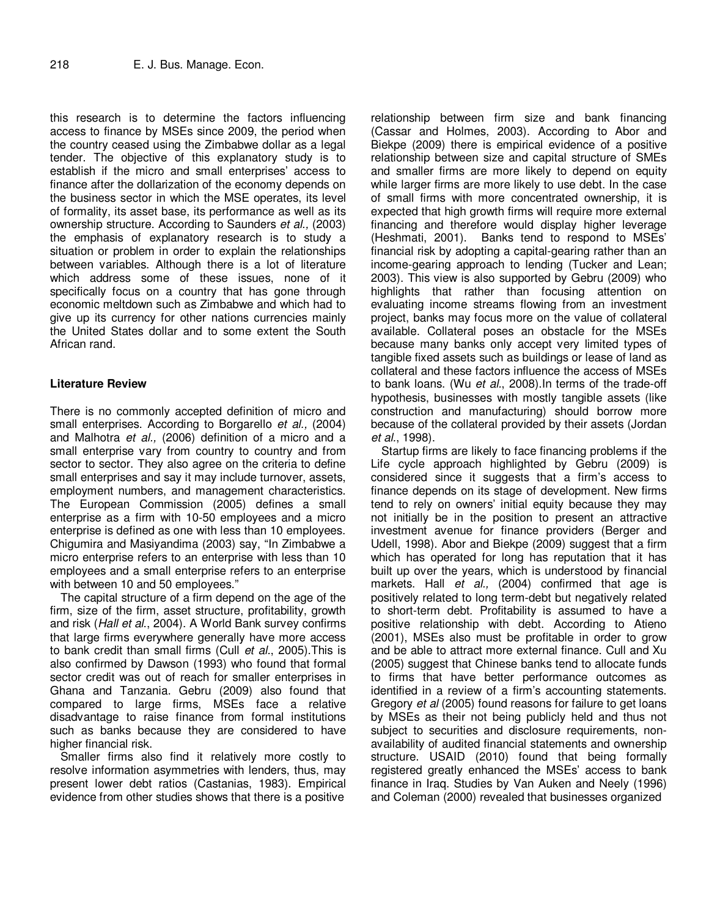this research is to determine the factors influencing access to finance by MSEs since 2009, the period when the country ceased using the Zimbabwe dollar as a legal tender. The objective of this explanatory study is to establish if the micro and small enterprises' access to finance after the dollarization of the economy depends on the business sector in which the MSE operates, its level of formality, its asset base, its performance as well as its ownership structure. According to Saunders et al., (2003) the emphasis of explanatory research is to study a situation or problem in order to explain the relationships between variables. Although there is a lot of literature which address some of these issues, none of it specifically focus on a country that has gone through economic meltdown such as Zimbabwe and which had to give up its currency for other nations currencies mainly the United States dollar and to some extent the South African rand.

#### **Literature Review**

There is no commonly accepted definition of micro and small enterprises. According to Borgarello et al., (2004) and Malhotra et al., (2006) definition of a micro and a small enterprise vary from country to country and from sector to sector. They also agree on the criteria to define small enterprises and say it may include turnover, assets, employment numbers, and management characteristics. The European Commission (2005) defines a small enterprise as a firm with 10-50 employees and a micro enterprise is defined as one with less than 10 employees. Chigumira and Masiyandima (2003) say, "In Zimbabwe a micro enterprise refers to an enterprise with less than 10 employees and a small enterprise refers to an enterprise with between 10 and 50 employees."

The capital structure of a firm depend on the age of the firm, size of the firm, asset structure, profitability, growth and risk (Hall et al., 2004). A World Bank survey confirms that large firms everywhere generally have more access to bank credit than small firms (Cull et al., 2005).This is also confirmed by Dawson (1993) who found that formal sector credit was out of reach for smaller enterprises in Ghana and Tanzania. Gebru (2009) also found that compared to large firms, MSEs face a relative disadvantage to raise finance from formal institutions such as banks because they are considered to have higher financial risk.

Smaller firms also find it relatively more costly to resolve information asymmetries with lenders, thus, may present lower debt ratios (Castanias, 1983). Empirical evidence from other studies shows that there is a positive

relationship between firm size and bank financing (Cassar and Holmes, 2003). According to Abor and Biekpe (2009) there is empirical evidence of a positive relationship between size and capital structure of SMEs and smaller firms are more likely to depend on equity while larger firms are more likely to use debt. In the case of small firms with more concentrated ownership, it is expected that high growth firms will require more external financing and therefore would display higher leverage (Heshmati, 2001). Banks tend to respond to MSEs' financial risk by adopting a capital-gearing rather than an income-gearing approach to lending (Tucker and Lean; 2003). This view is also supported by Gebru (2009) who highlights that rather than focusing attention on evaluating income streams flowing from an investment project, banks may focus more on the value of collateral available. Collateral poses an obstacle for the MSEs because many banks only accept very limited types of tangible fixed assets such as buildings or lease of land as collateral and these factors influence the access of MSEs to bank loans. (Wu et al., 2008). In terms of the trade-off hypothesis, businesses with mostly tangible assets (like construction and manufacturing) should borrow more because of the collateral provided by their assets (Jordan et al., 1998).

Startup firms are likely to face financing problems if the Life cycle approach highlighted by Gebru (2009) is considered since it suggests that a firm's access to finance depends on its stage of development. New firms tend to rely on owners' initial equity because they may not initially be in the position to present an attractive investment avenue for finance providers (Berger and Udell, 1998). Abor and Biekpe (2009) suggest that a firm which has operated for long has reputation that it has built up over the years, which is understood by financial markets. Hall et al., (2004) confirmed that age is positively related to long term-debt but negatively related to short-term debt. Profitability is assumed to have a positive relationship with debt. According to Atieno (2001), MSEs also must be profitable in order to grow and be able to attract more external finance. Cull and Xu (2005) suggest that Chinese banks tend to allocate funds to firms that have better performance outcomes as identified in a review of a firm's accounting statements. Gregory et al (2005) found reasons for failure to get loans by MSEs as their not being publicly held and thus not subject to securities and disclosure requirements, nonavailability of audited financial statements and ownership structure. USAID (2010) found that being formally registered greatly enhanced the MSEs' access to bank finance in Iraq. Studies by Van Auken and Neely (1996) and Coleman (2000) revealed that businesses organized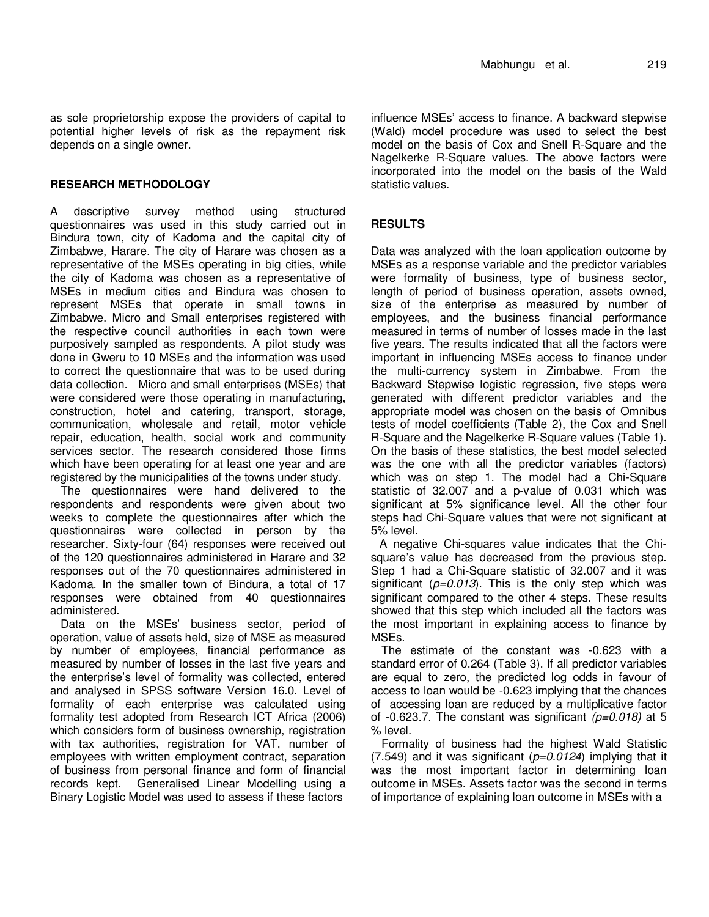as sole proprietorship expose the providers of capital to potential higher levels of risk as the repayment risk depends on a single owner.

## **RESEARCH METHODOLOGY**

A descriptive survey method using structured questionnaires was used in this study carried out in Bindura town, city of Kadoma and the capital city of Zimbabwe, Harare. The city of Harare was chosen as a representative of the MSEs operating in big cities, while the city of Kadoma was chosen as a representative of MSEs in medium cities and Bindura was chosen to represent MSEs that operate in small towns in Zimbabwe. Micro and Small enterprises registered with the respective council authorities in each town were purposively sampled as respondents. A pilot study was done in Gweru to 10 MSEs and the information was used to correct the questionnaire that was to be used during data collection. Micro and small enterprises (MSEs) that were considered were those operating in manufacturing, construction, hotel and catering, transport, storage, communication, wholesale and retail, motor vehicle repair, education, health, social work and community services sector. The research considered those firms which have been operating for at least one year and are registered by the municipalities of the towns under study.

The questionnaires were hand delivered to the respondents and respondents were given about two weeks to complete the questionnaires after which the questionnaires were collected in person by the researcher. Sixty-four (64) responses were received out of the 120 questionnaires administered in Harare and 32 responses out of the 70 questionnaires administered in Kadoma. In the smaller town of Bindura, a total of 17 responses were obtained from 40 questionnaires administered.

Data on the MSEs' business sector, period of operation, value of assets held, size of MSE as measured by number of employees, financial performance as measured by number of losses in the last five years and the enterprise's level of formality was collected, entered and analysed in SPSS software Version 16.0. Level of formality of each enterprise was calculated using formality test adopted from Research ICT Africa (2006) which considers form of business ownership, registration with tax authorities, registration for VAT, number of employees with written employment contract, separation of business from personal finance and form of financial records kept. Generalised Linear Modelling using a Binary Logistic Model was used to assess if these factors

influence MSEs' access to finance. A backward stepwise (Wald) model procedure was used to select the best model on the basis of Cox and Snell R-Square and the Nagelkerke R-Square values. The above factors were incorporated into the model on the basis of the Wald statistic values.

## **RESULTS**

Data was analyzed with the loan application outcome by MSEs as a response variable and the predictor variables were formality of business, type of business sector, length of period of business operation, assets owned, size of the enterprise as measured by number of employees, and the business financial performance measured in terms of number of losses made in the last five years. The results indicated that all the factors were important in influencing MSEs access to finance under the multi-currency system in Zimbabwe. From the Backward Stepwise logistic regression, five steps were generated with different predictor variables and the appropriate model was chosen on the basis of Omnibus tests of model coefficients (Table 2), the Cox and Snell R-Square and the Nagelkerke R-Square values (Table 1). On the basis of these statistics, the best model selected was the one with all the predictor variables (factors) which was on step 1. The model had a Chi-Square statistic of 32.007 and a p-value of 0.031 which was significant at 5% significance level. All the other four steps had Chi-Square values that were not significant at 5% level.

A negative Chi-squares value indicates that the Chisquare's value has decreased from the previous step. Step 1 had a Chi-Square statistic of 32.007 and it was significant ( $p=0.013$ ). This is the only step which was significant compared to the other 4 steps. These results showed that this step which included all the factors was the most important in explaining access to finance by MSEs.

The estimate of the constant was -0.623 with a standard error of 0.264 (Table 3). If all predictor variables are equal to zero, the predicted log odds in favour of access to loan would be -0.623 implying that the chances of accessing loan are reduced by a multiplicative factor of -0.623.7. The constant was significant  $(p=0.018)$  at 5 % level.

Formality of business had the highest Wald Statistic (7.549) and it was significant ( $p=0.0124$ ) implying that it was the most important factor in determining loan outcome in MSEs. Assets factor was the second in terms of importance of explaining loan outcome in MSEs with a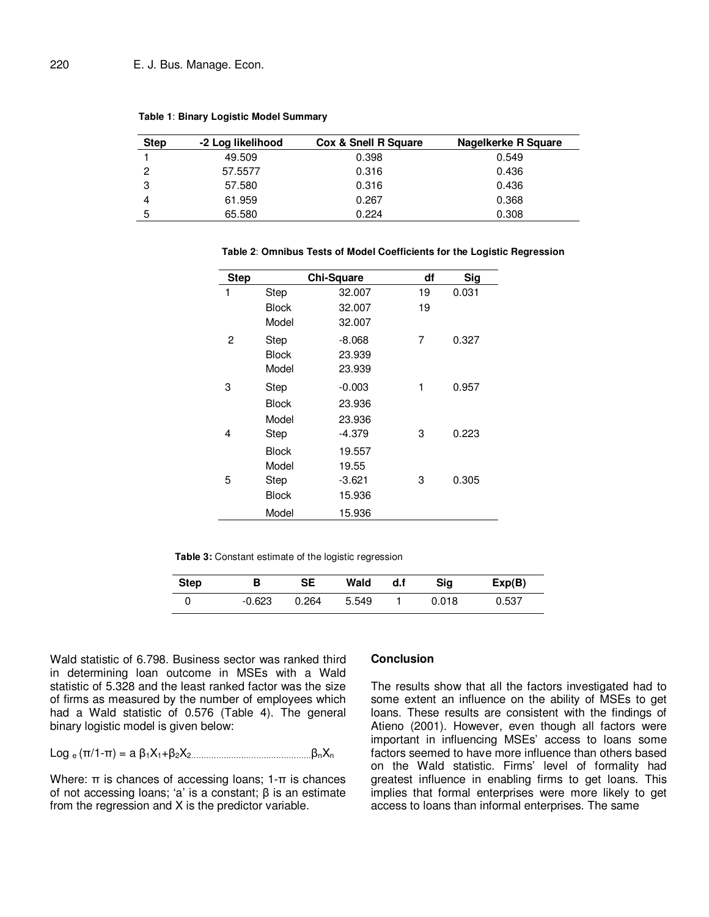| <b>Step</b> | -2 Log likelihood | <b>Cox &amp; Snell R Square</b> | Nagelkerke R Square |
|-------------|-------------------|---------------------------------|---------------------|
|             | 49.509            | 0.398                           | 0.549               |
| 2           | 57.5577           | 0.316                           | 0.436               |
| 3           | 57.580            | 0.316                           | 0.436               |
| 4           | 61.959            | 0.267                           | 0.368               |
| 5           | 65.580            | 0.224                           | 0.308               |

**Table 1**: **Binary Logistic Model Summary** 

| <b>Step</b> |              | <b>Chi-Square</b> | df | Sig   |
|-------------|--------------|-------------------|----|-------|
| 1           | <b>Step</b>  | 32.007            | 19 | 0.031 |
|             | <b>Block</b> | 32.007            | 19 |       |
|             | Model        | 32.007            |    |       |
| 2           | Step         | $-8.068$          | 7  | 0.327 |
|             | Block        | 23.939            |    |       |
|             | Model        | 23.939            |    |       |
| 3           | Step         | $-0.003$          | 1  | 0.957 |
|             | <b>Block</b> | 23.936            |    |       |
|             | Model        | 23.936            |    |       |
| 4           | Step         | -4.379            | 3  | 0.223 |
|             | <b>Block</b> | 19.557            |    |       |
|             | Model        | 19.55             |    |       |
| 5           | Step         | $-3.621$          | 3  | 0.305 |
|             | <b>Block</b> | 15.936            |    |       |
|             | Model        | 15.936            |    |       |

**Table 2**: **Omnibus Tests of Model Coefficients for the Logistic Regression**

**Table 3:** Constant estimate of the logistic regression

| Step | в      | SE    | Wald  | d.f | Sia   | Exp(B) |
|------|--------|-------|-------|-----|-------|--------|
|      | -0.623 | 0.264 | 5.549 |     | 0.018 | 0.537  |

Wald statistic of 6.798. Business sector was ranked third in determining loan outcome in MSEs with a Wald statistic of 5.328 and the least ranked factor was the size of firms as measured by the number of employees which had a Wald statistic of 0.576 (Table 4). The general binary logistic model is given below:

Log e (π/1-π) = a β1X1+β2X2…………………………………………βnX<sup>n</sup>

Where: π is chances of accessing loans; 1-π is chances of not accessing loans; 'a' is a constant; β is an estimate from the regression and X is the predictor variable.

#### **Conclusion**

The results show that all the factors investigated had to some extent an influence on the ability of MSEs to get loans. These results are consistent with the findings of Atieno (2001). However, even though all factors were important in influencing MSEs' access to loans some factors seemed to have more influence than others based on the Wald statistic. Firms' level of formality had greatest influence in enabling firms to get loans. This implies that formal enterprises were more likely to get access to loans than informal enterprises. The same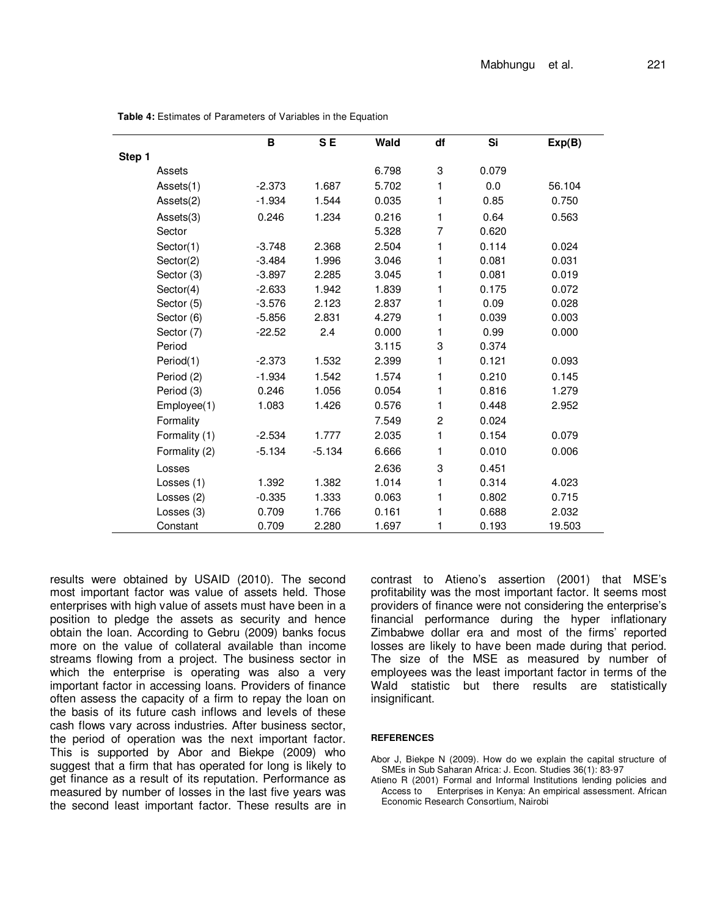|        |               | в        | S <sub>E</sub> | Wald  | df             | Si    | Exp(B) |
|--------|---------------|----------|----------------|-------|----------------|-------|--------|
| Step 1 |               |          |                |       |                |       |        |
|        | Assets        |          |                | 6.798 | 3              | 0.079 |        |
|        | Assets(1)     | $-2.373$ | 1.687          | 5.702 | 1              | 0.0   | 56.104 |
|        | Assets(2)     | $-1.934$ | 1.544          | 0.035 | 1              | 0.85  | 0.750  |
|        | Assets(3)     | 0.246    | 1.234          | 0.216 | 1              | 0.64  | 0.563  |
|        | Sector        |          |                | 5.328 | 7              | 0.620 |        |
|        | Sector(1)     | $-3.748$ | 2.368          | 2.504 | 1              | 0.114 | 0.024  |
|        | Sector(2)     | $-3.484$ | 1.996          | 3.046 | 1              | 0.081 | 0.031  |
|        | Sector (3)    | $-3.897$ | 2.285          | 3.045 | 1              | 0.081 | 0.019  |
|        | Sector(4)     | $-2.633$ | 1.942          | 1.839 | 1              | 0.175 | 0.072  |
|        | Sector (5)    | $-3.576$ | 2.123          | 2.837 | 1              | 0.09  | 0.028  |
|        | Sector (6)    | $-5.856$ | 2.831          | 4.279 | 1              | 0.039 | 0.003  |
|        | Sector (7)    | $-22.52$ | 2.4            | 0.000 | 1              | 0.99  | 0.000  |
|        | Period        |          |                | 3.115 | 3              | 0.374 |        |
|        | Period(1)     | $-2.373$ | 1.532          | 2.399 | 1              | 0.121 | 0.093  |
|        | Period (2)    | $-1.934$ | 1.542          | 1.574 | 1              | 0.210 | 0.145  |
|        | Period (3)    | 0.246    | 1.056          | 0.054 | 1              | 0.816 | 1.279  |
|        | Employee(1)   | 1.083    | 1.426          | 0.576 | 1              | 0.448 | 2.952  |
|        | Formality     |          |                | 7.549 | $\overline{c}$ | 0.024 |        |
|        | Formality (1) | $-2.534$ | 1.777          | 2.035 | 1              | 0.154 | 0.079  |
|        | Formality (2) | $-5.134$ | $-5.134$       | 6.666 | 1              | 0.010 | 0.006  |
|        | Losses        |          |                | 2.636 | 3              | 0.451 |        |
|        | Losses (1)    | 1.392    | 1.382          | 1.014 | 1              | 0.314 | 4.023  |
|        | Losses (2)    | $-0.335$ | 1.333          | 0.063 | 1              | 0.802 | 0.715  |
|        | Losses (3)    | 0.709    | 1.766          | 0.161 | 1              | 0.688 | 2.032  |
|        | Constant      | 0.709    | 2.280          | 1.697 | 1              | 0.193 | 19.503 |

**Table 4:** Estimates of Parameters of Variables in the Equation

results were obtained by USAID (2010). The second most important factor was value of assets held. Those enterprises with high value of assets must have been in a position to pledge the assets as security and hence obtain the loan. According to Gebru (2009) banks focus more on the value of collateral available than income streams flowing from a project. The business sector in which the enterprise is operating was also a very important factor in accessing loans. Providers of finance often assess the capacity of a firm to repay the loan on the basis of its future cash inflows and levels of these cash flows vary across industries. After business sector, the period of operation was the next important factor. This is supported by Abor and Biekpe (2009) who suggest that a firm that has operated for long is likely to get finance as a result of its reputation. Performance as measured by number of losses in the last five years was the second least important factor. These results are in

contrast to Atieno's assertion (2001) that MSE's profitability was the most important factor. It seems most providers of finance were not considering the enterprise's financial performance during the hyper inflationary Zimbabwe dollar era and most of the firms' reported losses are likely to have been made during that period. The size of the MSE as measured by number of employees was the least important factor in terms of the Wald statistic but there results are statistically insignificant.

#### **REFERENCES**

Abor J, Biekpe N (2009). How do we explain the capital structure of SMEs in Sub Saharan Africa: J. Econ. Studies 36(1): 83-97

Atieno R (2001) Formal and Informal Institutions lending policies and Access to Enterprises in Kenya: An empirical assessment. African Economic Research Consortium, Nairobi